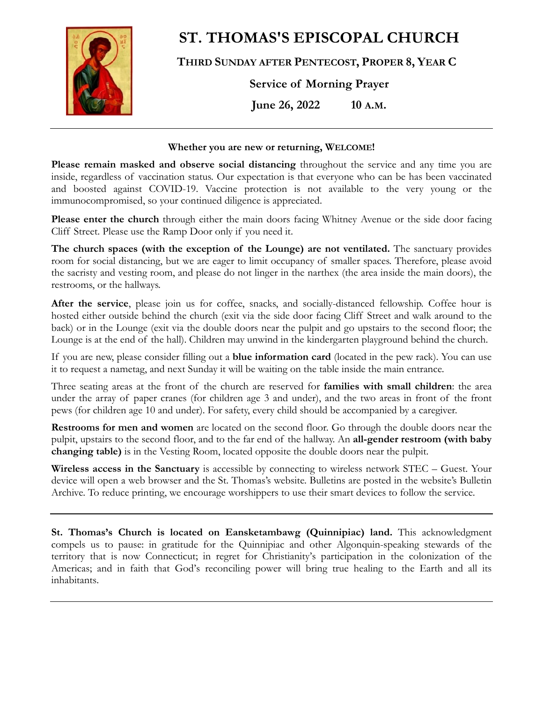

# **ST. THOMAS'S EPISCOPAL CHURCH**

**THIRD SUNDAY AFTER PENTECOST, PROPER 8, YEAR C**

**Service of Morning Prayer**

**June 26, 2022 10 A.M.**

#### **Whether you are new or returning, WELCOME!**

**Please remain masked and observe social distancing** throughout the service and any time you are inside, regardless of vaccination status. Our expectation is that everyone who can be has been vaccinated and boosted against COVID-19. Vaccine protection is not available to the very young or the immunocompromised, so your continued diligence is appreciated.

**Please enter the church** through either the main doors facing Whitney Avenue or the side door facing Cliff Street. Please use the Ramp Door only if you need it.

**The church spaces (with the exception of the Lounge) are not ventilated.** The sanctuary provides room for social distancing, but we are eager to limit occupancy of smaller spaces. Therefore, please avoid the sacristy and vesting room, and please do not linger in the narthex (the area inside the main doors), the restrooms, or the hallways.

**After the service**, please join us for coffee, snacks, and socially-distanced fellowship. Coffee hour is hosted either outside behind the church (exit via the side door facing Cliff Street and walk around to the back) or in the Lounge (exit via the double doors near the pulpit and go upstairs to the second floor; the Lounge is at the end of the hall). Children may unwind in the kindergarten playground behind the church.

If you are new, please consider filling out a **blue information card** (located in the pew rack). You can use it to request a nametag, and next Sunday it will be waiting on the table inside the main entrance.

Three seating areas at the front of the church are reserved for **families with small children**: the area under the array of paper cranes (for children age 3 and under), and the two areas in front of the front pews (for children age 10 and under). For safety, every child should be accompanied by a caregiver.

**Restrooms for men and women** are located on the second floor. Go through the double doors near the pulpit, upstairs to the second floor, and to the far end of the hallway. An **all-gender restroom (with baby changing table)** is in the Vesting Room, located opposite the double doors near the pulpit.

**Wireless access in the Sanctuary** is accessible by connecting to wireless network STEC – Guest. Your device will open a web browser and the St. Thomas's website. Bulletins are posted in the website's Bulletin Archive. To reduce printing, we encourage worshippers to use their smart devices to follow the service.

**St. Thomas's Church is located on Eansketambawg (Quinnipiac) land.** This acknowledgment compels us to pause: in gratitude for the Quinnipiac and other Algonquin-speaking stewards of the territory that is now Connecticut; in regret for Christianity's participation in the colonization of the Americas; and in faith that God's reconciling power will bring true healing to the Earth and all its inhabitants.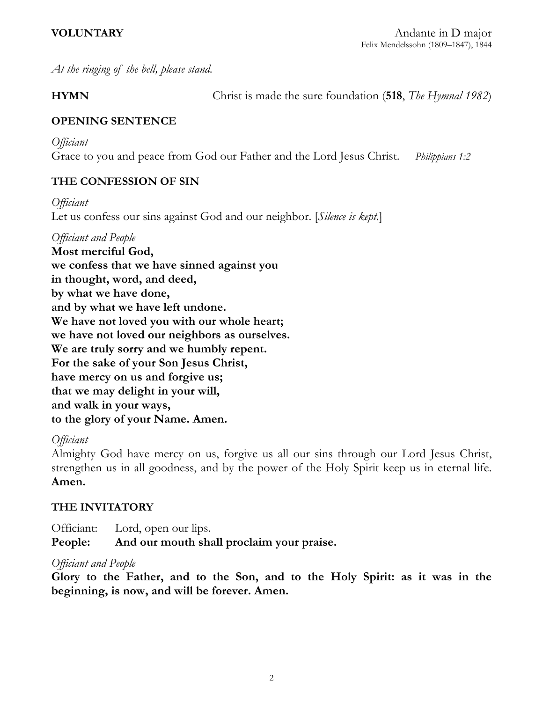*At the ringing of the bell, please stand.*

**HYMN** Christ is made the sure foundation (**518**, *The Hymnal 1982*)

# **OPENING SENTENCE**

*Officiant* Grace to you and peace from God our Father and the Lord Jesus Christ. *Philippians 1:2*

# **THE CONFESSION OF SIN**

*Officiant* Let us confess our sins against God and our neighbor. [*Silence is kept.*]

*Officiant and People* **Most merciful God, we confess that we have sinned against you in thought, word, and deed, by what we have done, and by what we have left undone. We have not loved you with our whole heart; we have not loved our neighbors as ourselves. We are truly sorry and we humbly repent. For the sake of your Son Jesus Christ, have mercy on us and forgive us; that we may delight in your will, and walk in your ways, to the glory of your Name. Amen.**

### *Officiant*

Almighty God have mercy on us, forgive us all our sins through our Lord Jesus Christ, strengthen us in all goodness, and by the power of the Holy Spirit keep us in eternal life. **Amen.**

### **THE INVITATORY**

Officiant: Lord, open our lips. **People: And our mouth shall proclaim your praise.**

### *Officiant and People*

**Glory to the Father, and to the Son, and to the Holy Spirit: as it was in the beginning, is now, and will be forever. Amen.**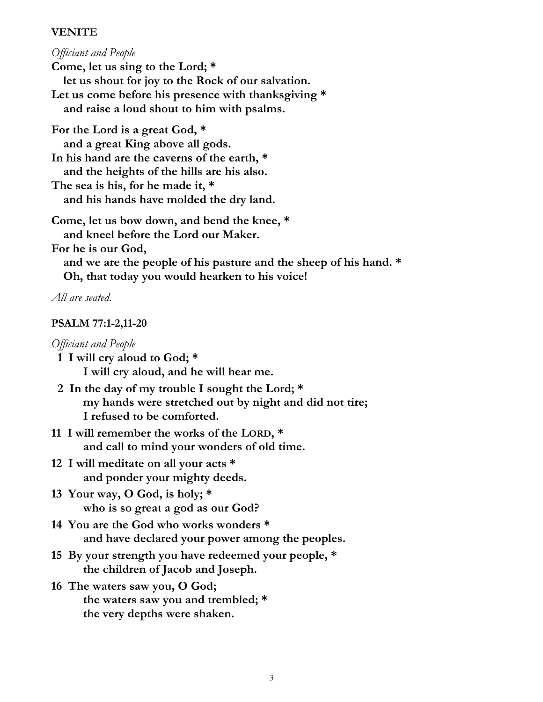# **VENITE**

### *Officiant and People*

**Come, let us sing to the Lord; \* let us shout for joy to the Rock of our salvation. Let us come before his presence with thanksgiving \* and raise a loud shout to him with psalms.**

**For the Lord is a great God, \***

**and a great King above all gods.**

**In his hand are the caverns of the earth, \***

**and the heights of the hills are his also.**

**The sea is his, for he made it, \***

**and his hands have molded the dry land.**

**Come, let us bow down, and bend the knee, \***

**and kneel before the Lord our Maker.**

**For he is our God,**

**and we are the people of his pasture and the sheep of his hand. \* Oh, that today you would hearken to his voice!**

*All are seated.*

# **PSALM 77:1-2,11-20**

# *Officiant and People*

- **1 I will cry aloud to God; \* I will cry aloud, and he will hear me.**
- **2 In the day of my trouble I sought the Lord; \* my hands were stretched out by night and did not tire; I refused to be comforted.**
- **11 I will remember the works of the LORD, \* and call to mind your wonders of old time.**
- **12 I will meditate on all your acts \* and ponder your mighty deeds.**
- **13 Your way, O God, is holy; \* who is so great a god as our God?**
- **14 You are the God who works wonders \* and have declared your power among the peoples.**
- **15 By your strength you have redeemed your people, \* the children of Jacob and Joseph.**
- **16 The waters saw you, O God; the waters saw you and trembled; \* the very depths were shaken.**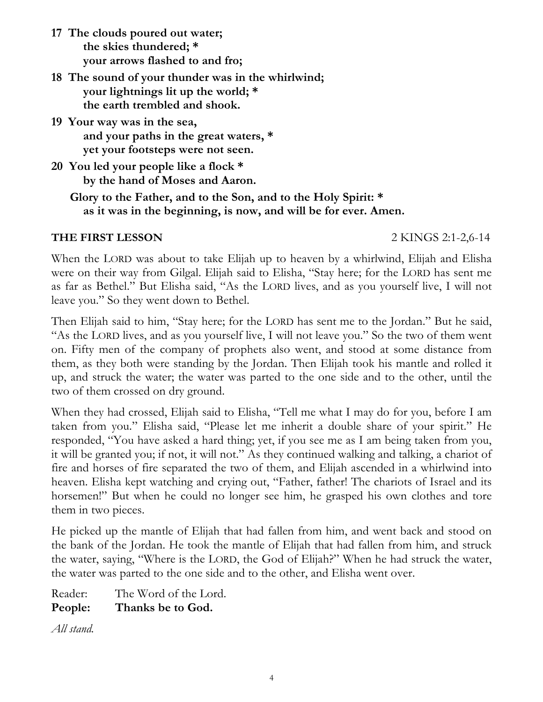- **17 The clouds poured out water; the skies thundered; \* your arrows flashed to and fro;**
- **18 The sound of your thunder was in the whirlwind; your lightnings lit up the world; \* the earth trembled and shook.**
- **19 Your way was in the sea, and your paths in the great waters, \* yet your footsteps were not seen.**
- **20 You led your people like a flock \* by the hand of Moses and Aaron.**

 **Glory to the Father, and to the Son, and to the Holy Spirit: \* as it was in the beginning, is now, and will be for ever. Amen.**

# **THE FIRST LESSON** 2 KINGS 2:1-2,6-14

When the LORD was about to take Elijah up to heaven by a whirlwind, Elijah and Elisha were on their way from Gilgal. Elijah said to Elisha, "Stay here; for the LORD has sent me as far as Bethel." But Elisha said, "As the LORD lives, and as you yourself live, I will not leave you." So they went down to Bethel.

Then Elijah said to him, "Stay here; for the LORD has sent me to the Jordan." But he said, "As the LORD lives, and as you yourself live, I will not leave you." So the two of them went on. Fifty men of the company of prophets also went, and stood at some distance from them, as they both were standing by the Jordan. Then Elijah took his mantle and rolled it up, and struck the water; the water was parted to the one side and to the other, until the two of them crossed on dry ground.

When they had crossed, Elijah said to Elisha, "Tell me what I may do for you, before I am taken from you." Elisha said, "Please let me inherit a double share of your spirit." He responded, "You have asked a hard thing; yet, if you see me as I am being taken from you, it will be granted you; if not, it will not." As they continued walking and talking, a chariot of fire and horses of fire separated the two of them, and Elijah ascended in a whirlwind into heaven. Elisha kept watching and crying out, "Father, father! The chariots of Israel and its horsemen!" But when he could no longer see him, he grasped his own clothes and tore them in two pieces.

He picked up the mantle of Elijah that had fallen from him, and went back and stood on the bank of the Jordan. He took the mantle of Elijah that had fallen from him, and struck the water, saying, "Where is the LORD, the God of Elijah?" When he had struck the water, the water was parted to the one side and to the other, and Elisha went over.

# Reader: The Word of the Lord. **People: Thanks be to God.**

*All stand.*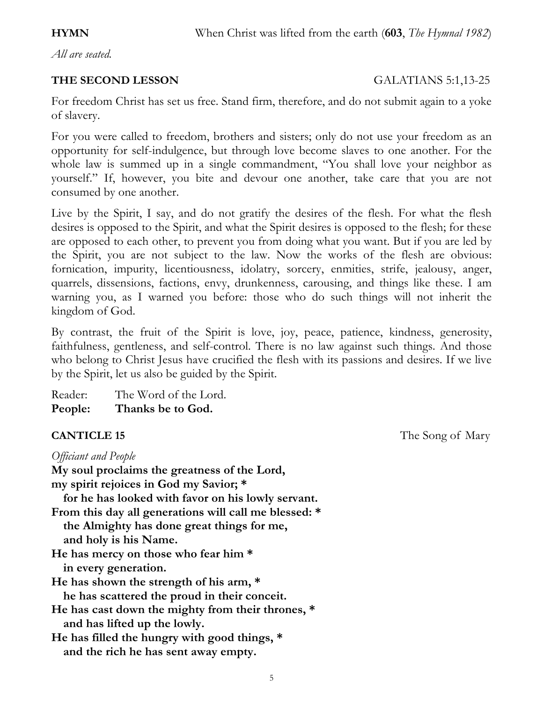*All are seated.*

# **THE SECOND LESSON** GALATIANS 5:1,13-25

For freedom Christ has set us free. Stand firm, therefore, and do not submit again to a yoke of slavery.

For you were called to freedom, brothers and sisters; only do not use your freedom as an opportunity for self-indulgence, but through love become slaves to one another. For the whole law is summed up in a single commandment, "You shall love your neighbor as yourself." If, however, you bite and devour one another, take care that you are not consumed by one another.

Live by the Spirit, I say, and do not gratify the desires of the flesh. For what the flesh desires is opposed to the Spirit, and what the Spirit desires is opposed to the flesh; for these are opposed to each other, to prevent you from doing what you want. But if you are led by the Spirit, you are not subject to the law. Now the works of the flesh are obvious: fornication, impurity, licentiousness, idolatry, sorcery, enmities, strife, jealousy, anger, quarrels, dissensions, factions, envy, drunkenness, carousing, and things like these. I am warning you, as I warned you before: those who do such things will not inherit the kingdom of God.

By contrast, the fruit of the Spirit is love, joy, peace, patience, kindness, generosity, faithfulness, gentleness, and self-control. There is no law against such things. And those who belong to Christ Jesus have crucified the flesh with its passions and desires. If we live by the Spirit, let us also be guided by the Spirit.

Reader: The Word of the Lord. **People: Thanks be to God.**

*Officiant and People*

**My soul proclaims the greatness of the Lord, my spirit rejoices in God my Savior; \* for he has looked with favor on his lowly servant. From this day all generations will call me blessed: \* the Almighty has done great things for me, and holy is his Name. He has mercy on those who fear him \* in every generation. He has shown the strength of his arm, \* he has scattered the proud in their conceit. He has cast down the mighty from their thrones, \* and has lifted up the lowly. He has filled the hungry with good things, \* and the rich he has sent away empty.**

**CANTICLE 15** The Song of Mary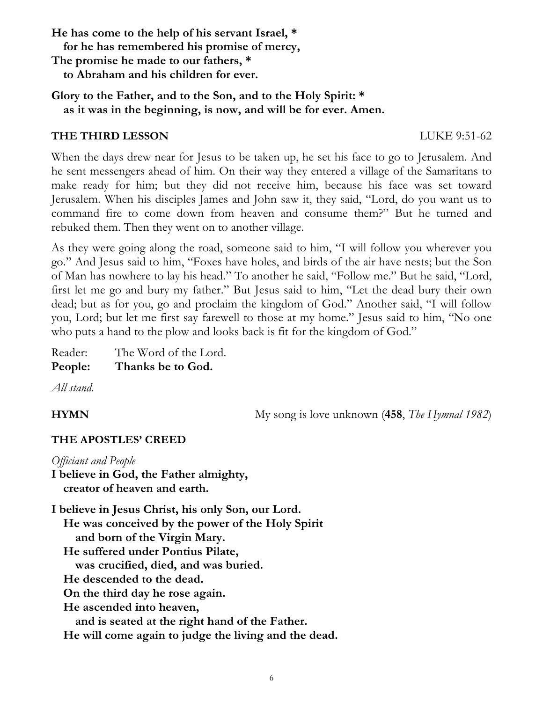**He has come to the help of his servant Israel, \* for he has remembered his promise of mercy, The promise he made to our fathers, \* to Abraham and his children for ever.**

**Glory to the Father, and to the Son, and to the Holy Spirit: \* as it was in the beginning, is now, and will be for ever. Amen.**

# **THE THIRD LESSON** LUKE 9:51-62

When the days drew near for Jesus to be taken up, he set his face to go to Jerusalem. And he sent messengers ahead of him. On their way they entered a village of the Samaritans to make ready for him; but they did not receive him, because his face was set toward Jerusalem. When his disciples James and John saw it, they said, "Lord, do you want us to command fire to come down from heaven and consume them?" But he turned and rebuked them. Then they went on to another village.

As they were going along the road, someone said to him, "I will follow you wherever you go." And Jesus said to him, "Foxes have holes, and birds of the air have nests; but the Son of Man has nowhere to lay his head." To another he said, "Follow me." But he said, "Lord, first let me go and bury my father." But Jesus said to him, "Let the dead bury their own dead; but as for you, go and proclaim the kingdom of God." Another said, "I will follow you, Lord; but let me first say farewell to those at my home." Jesus said to him, "No one who puts a hand to the plow and looks back is fit for the kingdom of God."

| Reader: | The Word of the Lord. |
|---------|-----------------------|
| People: | Thanks be to God.     |

*All stand.*

**HYMN** My song is love unknown (458, *The Hymnal 1982*)

# **THE APOSTLES' CREED**

*Officiant and People* **I believe in God, the Father almighty, creator of heaven and earth. I believe in Jesus Christ, his only Son, our Lord. He was conceived by the power of the Holy Spirit and born of the Virgin Mary. He suffered under Pontius Pilate, was crucified, died, and was buried. He descended to the dead. On the third day he rose again. He ascended into heaven, and is seated at the right hand of the Father. He will come again to judge the living and the dead.**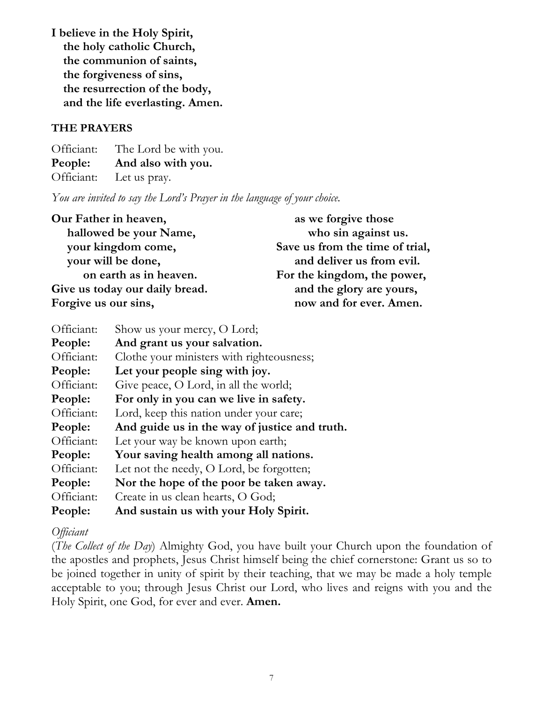**I believe in the Holy Spirit, the holy catholic Church, the communion of saints, the forgiveness of sins, the resurrection of the body, and the life everlasting. Amen.**

#### **THE PRAYERS**

| Officiant: | The Lord be with you. |
|------------|-----------------------|
| People:    | And also with you.    |
| Officiant: | Let us pray.          |

*You are invited to say the Lord's Prayer in the language of your choice.*

| Our Father in heaven,          | as we forgive those             |
|--------------------------------|---------------------------------|
| hallowed be your Name,         | who sin against us.             |
| your kingdom come,             | Save us from the time of trial, |
| your will be done,             | and deliver us from evil.       |
| on earth as in heaven.         | For the kingdom, the power,     |
| Give us today our daily bread. | and the glory are yours,        |
| Forgive us our sins,           | now and for ever. Amen.         |

| Officiant: | Show us your mercy, O Lord;                   |
|------------|-----------------------------------------------|
| People:    | And grant us your salvation.                  |
| Officiant: | Clothe your ministers with righteousness;     |
| People:    | Let your people sing with joy.                |
| Officiant: | Give peace, O Lord, in all the world;         |
| People:    | For only in you can we live in safety.        |
| Officiant: | Lord, keep this nation under your care;       |
| People:    | And guide us in the way of justice and truth. |
|            |                                               |
| Officiant: | Let your way be known upon earth;             |
| People:    | Your saving health among all nations.         |
| Officiant: | Let not the needy, O Lord, be forgotten;      |
| People:    | Nor the hope of the poor be taken away.       |
| Officiant: | Create in us clean hearts, O God;             |

### *Officiant*

(*The Collect of the Day*) Almighty God, you have built your Church upon the foundation of the apostles and prophets, Jesus Christ himself being the chief cornerstone: Grant us so to be joined together in unity of spirit by their teaching, that we may be made a holy temple acceptable to you; through Jesus Christ our Lord, who lives and reigns with you and the Holy Spirit, one God, for ever and ever. **Amen.**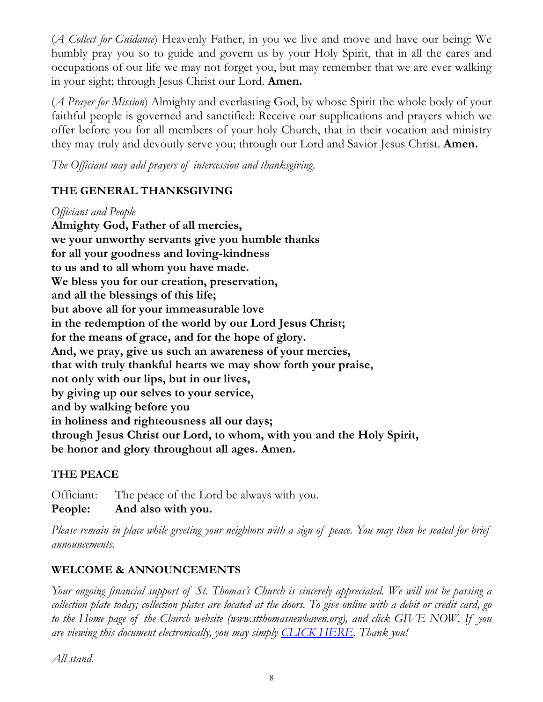(*A Collect for Guidance*) Heavenly Father, in you we live and move and have our being: We humbly pray you so to guide and govern us by your Holy Spirit, that in all the cares and occupations of our life we may not forget you, but may remember that we are ever walking in your sight; through Jesus Christ our Lord. **Amen.**

(*A Prayer for Mission*) Almighty and everlasting God, by whose Spirit the whole body of your faithful people is governed and sanctified: Receive our supplications and prayers which we offer before you for all members of your holy Church, that in their vocation and ministry they may truly and devoutly serve you; through our Lord and Savior Jesus Christ. **Amen.** 

*The Officiant may add prayers of intercession and thanksgiving.*

# **THE GENERAL THANKSGIVING**

# *Officiant and People*

**Almighty God, Father of all mercies, we your unworthy servants give you humble thanks for all your goodness and loving-kindness to us and to all whom you have made. We bless you for our creation, preservation, and all the blessings of this life; but above all for your immeasurable love in the redemption of the world by our Lord Jesus Christ; for the means of grace, and for the hope of glory. And, we pray, give us such an awareness of your mercies, that with truly thankful hearts we may show forth your praise, not only with our lips, but in our lives, by giving up our selves to your service, and by walking before you in holiness and righteousness all our days; through Jesus Christ our Lord, to whom, with you and the Holy Spirit, be honor and glory throughout all ages. Amen.**

# **THE PEACE**

Officiant: The peace of the Lord be always with you.

**People: And also with you.**

*Please remain in place while greeting your neighbors with a sign of peace. You may then be seated for brief announcements.*

# **WELCOME & ANNOUNCEMENTS**

*Your ongoing financial support of St. Thomas's Church is sincerely appreciated. We will not be passing a collection plate today; collection plates are located at the doors. To give online with a debit or credit card, go to the Home page of the Church website (www.stthomasnewhaven.org), and click GIVE NOW. If you are viewing this document electronically, you may simply CLICK HERE. Thank you!*

*All stand.*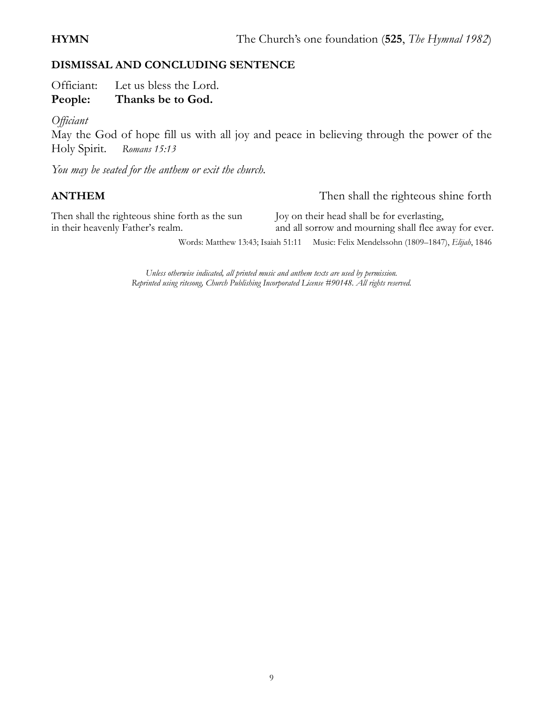# **DISMISSAL AND CONCLUDING SENTENCE**

Officiant: Let us bless the Lord.

**People: Thanks be to God.**

#### *Officiant*

May the God of hope fill us with all joy and peace in believing through the power of the Holy Spirit. *Romans 15:13*

*You may be seated for the anthem or exit the church.*

**ANTHEM** Then shall the righteous shine forth

Then shall the righteous shine forth as the sun in their heavenly Father's realm. Joy on their head shall be for everlasting, and all sorrow and mourning shall flee away for ever. Words: Matthew 13:43; Isaiah 51:11 Music: Felix Mendelssohn (1809–1847), *Elijah*, 1846

> *Unless otherwise indicated, all printed music and anthem texts are used by permission. Reprinted using ritesong, Church Publishing Incorporated License #90148. All rights reserved.*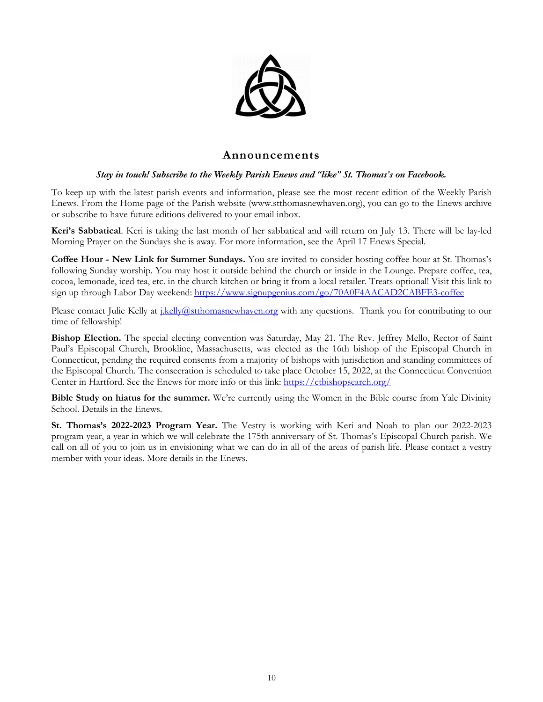

#### **Announcements**

#### *Stay in touch! Subscribe to the Weekly Parish Enews and "like" St. Thomas's on Facebook.*

To keep up with the latest parish events and information, please see the most recent edition of the Weekly Parish Enews. From the Home page of the Parish website (www.stthomasnewhaven.org), you can go to the Enews archive or subscribe to have future editions delivered to your email inbox.

**Keri's Sabbatical**. Keri is taking the last month of her sabbatical and will return on July 13. There will be lay-led Morning Prayer on the Sundays she is away. For more information, see the April 17 Enews Special.

**Coffee Hour - New Link for Summer Sundays.** You are invited to consider hosting coffee hour at St. Thomas's following Sunday worship. You may host it outside behind the church or inside in the Lounge. Prepare coffee, tea, cocoa, lemonade, iced tea, etc. in the church kitchen or bring it from a local retailer. Treats optional! Visit this link to sign up through Labor Day weekend: https://www.signupgenius.com/go/70A0F4AACAD2CABFE3-coffee

Please contact Julie Kelly at  $i$ .kelly@stthomasnewhaven.org with any questions. Thank you for contributing to our time of fellowship!

**Bishop Election.** The special electing convention was Saturday, May 21. The Rev. Jeffrey Mello, Rector of Saint Paul's Episcopal Church, Brookline, Massachusetts, was elected as the 16th bishop of the Episcopal Church in Connecticut, pending the required consents from a majority of bishops with jurisdiction and standing committees of the Episcopal Church. The consecration is scheduled to take place October 15, 2022, at the Connecticut Convention Center in Hartford. See the Enews for more info or this link: https://ctbishopsearch.org/

**Bible Study on hiatus for the summer.** We're currently using the Women in the Bible course from Yale Divinity School. Details in the Enews.

**St. Thomas's 2022-2023 Program Year.** The Vestry is working with Keri and Noah to plan our 2022-2023 program year, a year in which we will celebrate the 175th anniversary of St. Thomas's Episcopal Church parish. We call on all of you to join us in envisioning what we can do in all of the areas of parish life. Please contact a vestry member with your ideas. More details in the Enews.